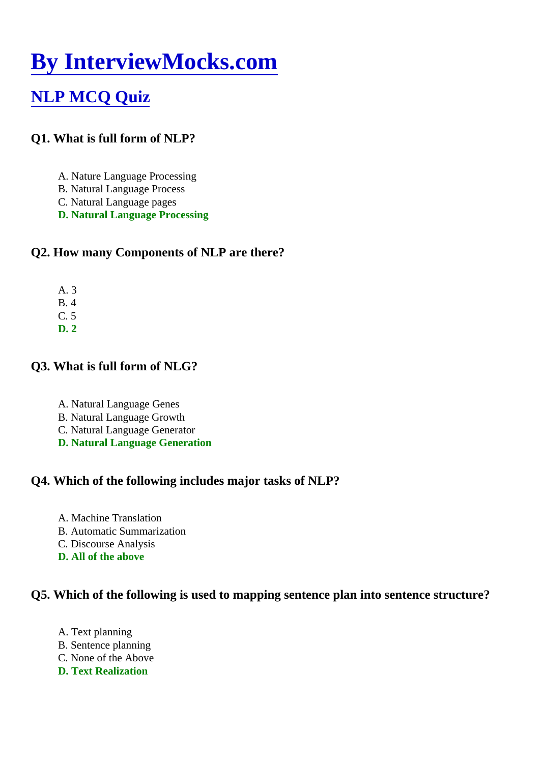# [By InterviewMocks.com](https://www.interviewmocks.com/)

# [NLP MCQ Quiz](https://www.interviewmocks.com/nlp-mcq/)

- Q1. What is full form of NLP?
	- A. Nature Language Processing
	- B. Natural Language Process
	- C. Natural Language pages
	- D. Natural Language Processing
- Q2. How many Components of NLP are there?
	- A. 3
	- B. 4
	- $C.5$
	- D. 2
- Q3. What is full form of NLG?
	- A. Natural Language Genes
	- B. Natural Language Growth
	- C. Natural Language Generator
	- D. Natural Language Generation
- Q4. Which of the following includes major tasks of NLP?
	- A. Machine Translation
	- B. Automatic Summarization
	- C. Discourse Analysis
	- D. All of the above

Q5. Which of the following is used to mapping sentence plan into sentence structure?

A. Text planning B. Sentence planning C. None of the Above D. Text Realization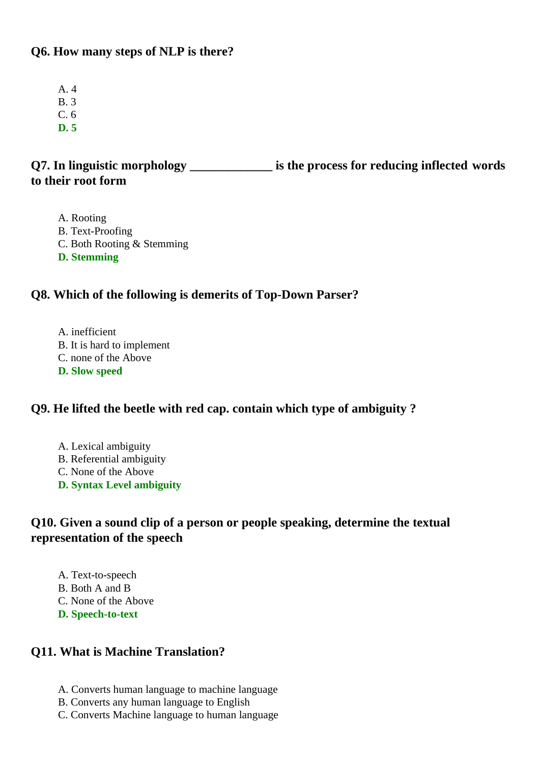#### **Q6. How many steps of NLP is there?**

- A. 4
- B. 3
- C. 6
- **D. 5**

# **Q7. In linguistic morphology \_\_\_\_\_\_\_\_\_\_\_\_\_ is the process for reducing inflected words to their root form**

- A. Rooting
- B. Text-Proofing
- C. Both Rooting & Stemming
- **D. Stemming**

#### **Q8. Which of the following is demerits of Top-Down Parser?**

A. inefficient B. It is hard to implement C. none of the Above **D. Slow speed**

#### **Q9. He lifted the beetle with red cap. contain which type of ambiguity ?**

- A. Lexical ambiguity B. Referential ambiguity C. None of the Above
- **D. Syntax Level ambiguity**

# **Q10. Given a sound clip of a person or people speaking, determine the textual representation of the speech**

- A. Text-to-speech B. Both A and B
- 
- C. None of the Above **D. Speech-to-text**

# **Q11. What is Machine Translation?**

- A. Converts human language to machine language
- B. Converts any human language to English
- C. Converts Machine language to human language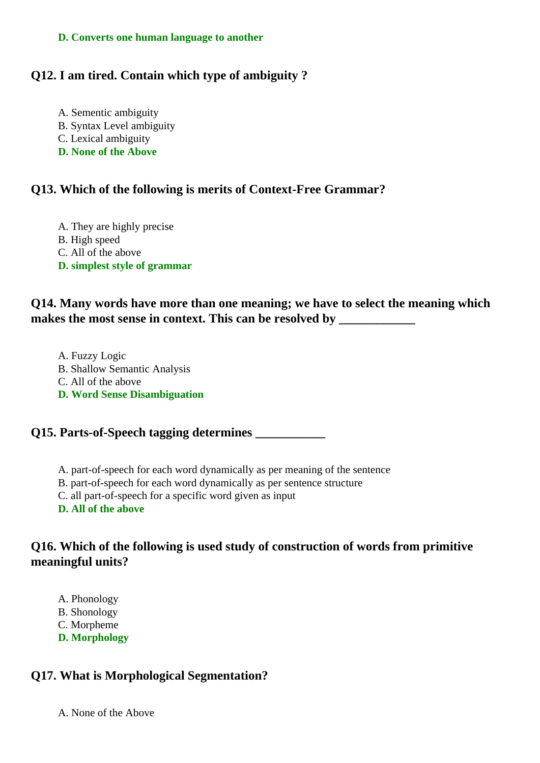#### **D. Converts one human language to another**

#### **Q12. I am tired. Contain which type of ambiguity ?**

A. Sementic ambiguity B. Syntax Level ambiguity C. Lexical ambiguity **D. None of the Above**

#### **Q13. Which of the following is merits of Context-Free Grammar?**

A. They are highly precise B. High speed C. All of the above **D. simplest style of grammar**

### **Q14. Many words have more than one meaning; we have to select the meaning which** makes the most sense in context. This can be resolved by \_\_\_\_\_\_\_\_\_\_\_\_\_\_\_\_\_\_\_\_\_\_\_\_

A. Fuzzy Logic B. Shallow Semantic Analysis C. All of the above **D. Word Sense Disambiguation**

#### **Q15. Parts-of-Speech tagging determines \_\_\_\_\_\_\_\_\_\_\_**

- A. part-of-speech for each word dynamically as per meaning of the sentence
- B. part-of-speech for each word dynamically as per sentence structure
- C. all part-of-speech for a specific word given as input
- **D. All of the above**

### **Q16. Which of the following is used study of construction of words from primitive meaningful units?**

- A. Phonology
- B. Shonology
- C. Morpheme
- **D. Morphology**

#### **Q17. What is Morphological Segmentation?**

A. None of the Above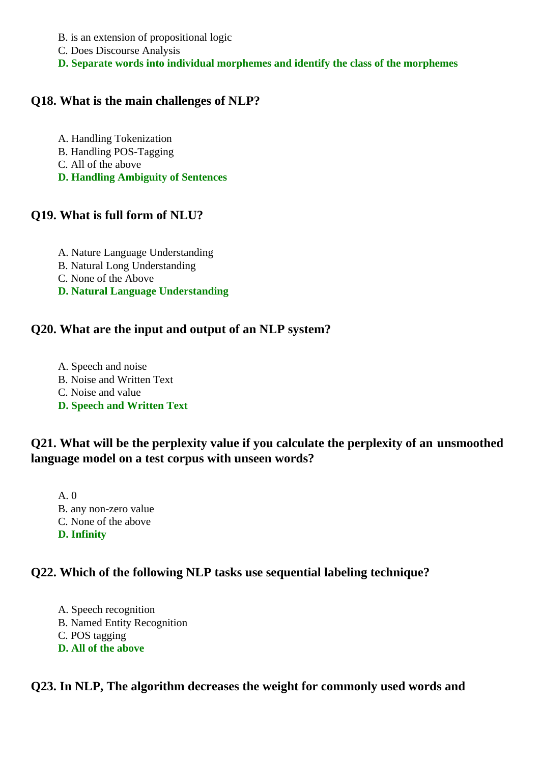- B. is an extension of propositional logic
- C. Does Discourse Analysis
- **D. Separate words into individual morphemes and identify the class of the morphemes**

#### **Q18. What is the main challenges of NLP?**

- A. Handling Tokenization B. Handling POS-Tagging C. All of the above
- **D. Handling Ambiguity of Sentences**

#### **Q19. What is full form of NLU?**

- A. Nature Language Understanding
- B. Natural Long Understanding
- C. None of the Above
- **D. Natural Language Understanding**

#### **Q20. What are the input and output of an NLP system?**

A. Speech and noise B. Noise and Written Text C. Noise and value **D. Speech and Written Text**

# **Q21. What will be the perplexity value if you calculate the perplexity of an unsmoothed language model on a test corpus with unseen words?**

A. 0 B. any non-zero value C. None of the above **D. Infinity**

#### **Q22. Which of the following NLP tasks use sequential labeling technique?**

A. Speech recognition B. Named Entity Recognition C. POS tagging **D. All of the above**

#### **Q23. In NLP, The algorithm decreases the weight for commonly used words and**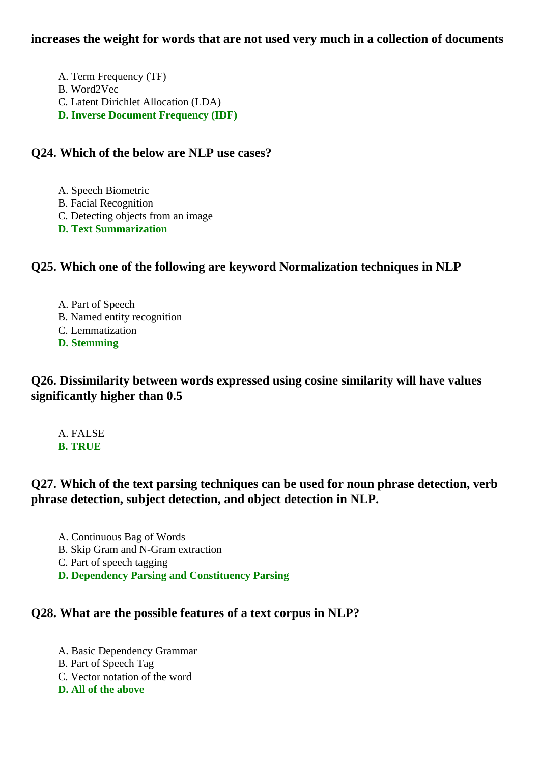#### **increases the weight for words that are not used very much in a collection of documents**

A. Term Frequency (TF) B. Word2Vec C. Latent Dirichlet Allocation (LDA) **D. Inverse Document Frequency (IDF)**

#### **Q24. Which of the below are NLP use cases?**

A. Speech Biometric

- B. Facial Recognition
- C. Detecting objects from an image

**D. Text Summarization**

# **Q25. Which one of the following are keyword Normalization techniques in NLP**

A. Part of Speech B. Named entity recognition C. Lemmatization **D. Stemming**

**Q26. Dissimilarity between words expressed using cosine similarity will have values significantly higher than 0.5**

A. FALSE **B. TRUE**

# **Q27. Which of the text parsing techniques can be used for noun phrase detection, verb phrase detection, subject detection, and object detection in NLP.**

- A. Continuous Bag of Words
- B. Skip Gram and N-Gram extraction
- C. Part of speech tagging
- **D. Dependency Parsing and Constituency Parsing**

#### **Q28. What are the possible features of a text corpus in NLP?**

A. Basic Dependency Grammar B. Part of Speech Tag C. Vector notation of the word **D. All of the above**